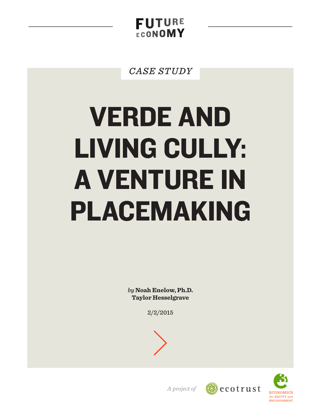**FUTURE FCONOMY** 

**CASE STUDY** 

# **VERDE AND LIVING CULLY: A VENTURE IN** PLACEMAKING

by Noah Enelow, Ph.D. **Taylor Hesselgrave** 

 $2/2/2015$ 





A project of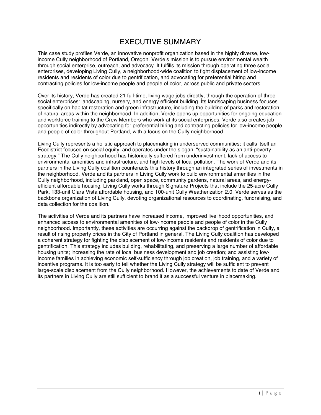# EXECUTIVE SUMMARY

This case study profiles Verde, an innovative nonprofit organization based in the highly diverse, lowincome Cully neighborhood of Portland, Oregon. Verde's mission is to pursue environmental wealth through social enterprise, outreach, and advocacy. It fulfills its mission through operating three social enterprises, developing Living Cully, a neighborhood-wide coalition to fight displacement of low-income residents and residents of color due to gentrification, and advocating for preferential hiring and contracting policies for low-income people and people of color, across public and private sectors.

Over its history, Verde has created 21 full-time, living wage jobs directly, through the operation of three social enterprises: landscaping, nursery, and energy efficient building. Its landscaping business focuses specifically on habitat restoration and green infrastructure, including the building of parks and restoration of natural areas within the neighborhood. In addition, Verde opens up opportunities for ongoing education and workforce training to the Crew Members who work at its social enterprises. Verde also creates job opportunities indirectly by advocating for preferential hiring and contracting policies for low-income people and people of color throughout Portland, with a focus on the Cully neighborhood.

Living Cully represents a holistic approach to placemaking in underserved communities; it calls itself an Ecodistrict focused on social equity, and operates under the slogan, "sustainability as an anti-poverty strategy." The Cully neighborhood has historically suffered from underinvestment, lack of access to environmental amenities and infrastructure, and high levels of local pollution. The work of Verde and its partners in the Living Cully coalition counteracts this history through an integrated series of investments in the neighborhood. Verde and its partners in Living Cully work to build environmental amenities in the Cully neighborhood, including parkland, open space, community gardens, natural areas, and energyefficient affordable housing. Living Cully works through Signature Projects that include the 25-acre Cully Park, 133-unit Clara Vista affordable housing, and 100-unit Cully Weatherization 2.0. Verde serves as the backbone organization of Living Cully, devoting organizational resources to coordinating, fundraising, and data collection for the coalition.

The activities of Verde and its partners have increased income, improved livelihood opportunities, and enhanced access to environmental amenities of low-income people and people of color in the Cully neighborhood. Importantly, these activities are occurring against the backdrop of gentrification in Cully, a result of rising property prices in the City of Portland in general. The Living Cully coalition has developed a coherent strategy for fighting the displacement of low-income residents and residents of color due to gentrification. This strategy includes building, rehabilitating, and preserving a large number of affordable housing units; increasing the rate of local business development and job creation; and assisting lowincome families in achieving economic self-sufficiency through job creation, job training, and a variety of incentive programs. It is too early to tell whether the Living Cully strategy will be sufficient to prevent large-scale displacement from the Cully neighborhood. However, the achievements to date of Verde and its partners in Living Cully are still sufficient to brand it as a successful venture in placemaking.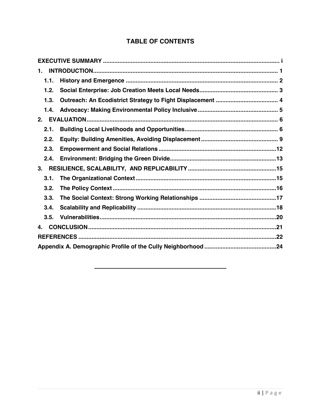# **TABLE OF CONTENTS**

| 1.   |  |  |  |  |
|------|--|--|--|--|
| 1.1. |  |  |  |  |
| 1.2. |  |  |  |  |
| 1.3. |  |  |  |  |
| 1.4. |  |  |  |  |
| 2.   |  |  |  |  |
| 2.1. |  |  |  |  |
| 2.2. |  |  |  |  |
| 2.3. |  |  |  |  |
| 2.4. |  |  |  |  |
| 3.   |  |  |  |  |
| 3.1. |  |  |  |  |
| 3.2. |  |  |  |  |
| 3.3. |  |  |  |  |
| 3.4. |  |  |  |  |
| 3.5. |  |  |  |  |
| 4.   |  |  |  |  |
|      |  |  |  |  |
|      |  |  |  |  |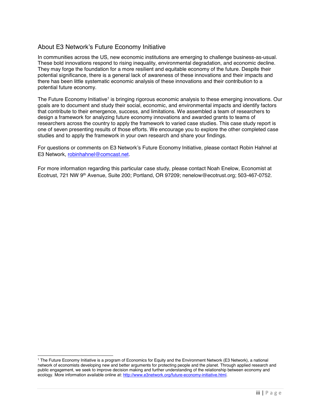## About E3 Network's Future Economy Initiative

In communities across the US, new economic institutions are emerging to challenge business-as-usual. These bold innovations respond to rising inequality, environmental degradation, and economic decline. They may forge the foundation for a more resilient and equitable economy of the future. Despite their potential significance, there is a general lack of awareness of these innovations and their impacts and there has been little systematic economic analysis of these innovations and their contribution to a potential future economy.

The Future Economy Initiative<sup>1</sup> is bringing rigorous economic analysis to these emerging innovations. Our goals are to document and study their social, economic, and environmental impacts and identify factors that contribute to their emergence, success, and limitations. We assembled a team of researchers to design a framework for analyzing future economy innovations and awarded grants to teams of researchers across the country to apply the framework to varied case studies. This case study report is one of seven presenting results of those efforts. We encourage you to explore the other completed case studies and to apply the framework in your own research and share your findings.

For questions or comments on E3 Network's Future Economy Initiative, please contact Robin Hahnel at E3 Network, robinhahnel@comcast.net.

For more information regarding this particular case study, please contact Noah Enelow, Economist at Ecotrust, 721 NW 9<sup>th</sup> Avenue, Suite 200; Portland, OR 97209; nenelow@ecotrust.org; 503-467-0752.

<sup>-&</sup>lt;br>1 <sup>1</sup> The Future Economy Initiative is a program of Economics for Equity and the Environment Network (E3 Network), a national network of economists developing new and better arguments for protecting people and the planet. Through applied research and public engagement, we seek to improve decision making and further understanding of the relationship between economy and ecology. More information available online at: http://www.e3network.org/future-economy-initiative.html.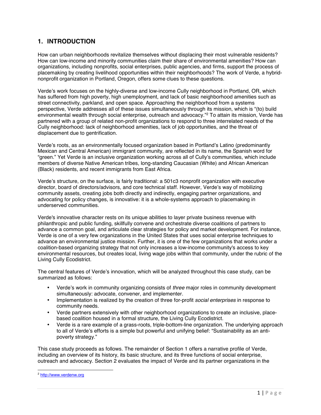## **1. INTRODUCTION**

How can urban neighborhoods revitalize themselves without displacing their most vulnerable residents? How can low-income and minority communities claim their share of environmental amenities? How can organizations, including nonprofits, social enterprises, public agencies, and firms, support the process of placemaking by creating livelihood opportunities within their neighborhoods? The work of Verde, a hybridnonprofit organization in Portland, Oregon, offers some clues to these questions.

Verde's work focuses on the highly-diverse and low-income Cully neighborhood in Portland, OR, which has suffered from high poverty, high unemployment, and lack of basic neighborhood amenities such as street connectivity, parkland, and open space. Approaching the neighborhood from a systems perspective, Verde addresses all of these issues simultaneously through its mission, which is "(to) build environmental wealth through social enterprise, outreach and advocacy."2 To attain its mission, Verde has partnered with a group of related non-profit organizations to respond to three interrelated needs of the Cully neighborhood: lack of neighborhood amenities, lack of job opportunities, and the threat of displacement due to gentrification.

Verde's roots, as an environmentally focused organization based in Portland's Latino (predominantly Mexican and Central American) immigrant community, are reflected in its name, the Spanish word for "green." Yet Verde is an inclusive organization working across all of Cully's communities, which include members of diverse Native American tribes, long-standing Caucasian (White) and African American (Black) residents, and recent immigrants from East Africa.

Verde's structure, on the surface, is fairly traditional: a 501c3 nonprofit organization with executive director, board of directors/advisors, and core technical staff. However, Verde's way of mobilizing community assets, creating jobs both directly and indirectly, engaging partner organizations, and advocating for policy changes, is innovative: it is a whole-systems approach to placemaking in underserved communities.

Verde's innovative character rests on its unique abilities to layer private business revenue with philanthropic and public funding, skillfully convene and orchestrate diverse coalitions of partners to advance a common goal, and articulate clear strategies for policy and market development. For instance, Verde is one of a very few organizations in the United States that uses social enterprise techniques to advance an environmental justice mission. Further, it is one of the few organizations that works under a coalition-based organizing strategy that not only increases a low-income community's access to key environmental resources, but creates local, living wage jobs within that community, under the rubric of the Living Cully Ecodistrict.

The central features of Verde's innovation, which will be analyzed throughout this case study, can be summarized as follows:

- Verde's work in community organizing consists of *three* major roles in community development simultaneously: advocate, convener, and implementer.
- Implementation is realized by the creation of three for-profit *social enterprises* in response to community needs.
- Verde partners extensively with other neighborhood organizations to create an inclusive, placebased coalition housed in a formal structure, the Living Cully Ecodistrict.
- Verde is a rare example of a grass-roots, triple-bottom-line organization. The underlying approach to all of Verde's efforts is a simple but powerful and unifying belief: "Sustainability as an antipoverty strategy."

This case study proceeds as follows. The remainder of Section 1 offers a narrative profile of Verde, including an overview of its history, its basic structure, and its three functions of social enterprise, outreach and advocacy. Section 2 evaluates the impact of Verde and its partner organizations in the

 <sup>2</sup> http://www.verdenw.org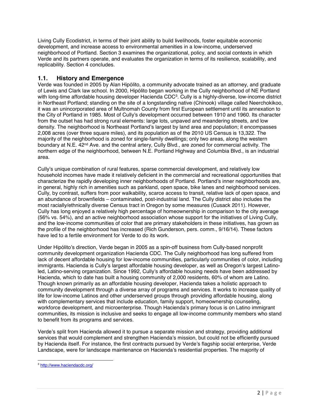Living Cully Ecodistrict, in terms of their joint ability to build livelihoods, foster equitable economic development, and increase access to environmental amenities in a low-income, underserved neighborhood of Portland. Section 3 examines the organizational, policy, and social contexts in which Verde and its partners operate, and evaluates the organization in terms of its resilience, scalability, and replicability. Section 4 concludes.

#### **1.1. History and Emergence**

Verde was founded in 2005 by Alan Hipólito, a community advocate trained as an attorney, and graduate of Lewis and Clark law school. In 2000, Hipólito began working in the Cully neighborhood of NE Portland with long-time affordable housing developer Hacienda CDC<sup>3</sup>. Cully is a highly-diverse, low-income district in Northeast Portland; standing on the site of a longstanding native (Chinook) village called Neerchokikoo, it was an unincorporated area of Multnomah County from first European settlement until its annexation to the City of Portland in 1985. Most of Cully's development occurred between 1910 and 1960. Its character from the outset has had strong rural elements: large lots, unpaved and meandering streets, and low density. The neighborhood is Northeast Portland's largest by land area and population; it encompasses 2,008 acres (over three square miles), and its population as of the 2010 US Census is 13,322. The majority of the neighborhood is zoned for single-family dwellings; only two areas, along the western boundary at N.E. 42<sup>nd</sup> Ave. and the central artery, Cully Blvd., are zoned for commercial activity. The northern edge of the neighborhood, between N.E. Portland Highway and Columbia Blvd., is an industrial area.

Cully's unique combination of rural features, sparse commercial development, and relatively low household incomes have made it relatively deficient in the commercial and recreational opportunities that characterize the rapidly developing inner neighborhoods of Portland. Portland's inner neighborhoods are, in general, highly rich in amenities such as parkland, open space, bike lanes and neighborhood services. Cully, by contrast, suffers from poor walkability, scarce access to transit, relative lack of open space, and an abundance of brownfields – contaminated, post-industrial land. The Cully district also includes the most racially/ethnically diverse Census tract in Oregon by some measures (Cusack 2011). However, Cully has long enjoyed a relatively high percentage of homeownership in comparison to the city average (56% vs. 54%), and an active neighborhood association whose support for the initiatives of Living Cully, and the low-income communities of color that are primary stakeholders in these initiatives, has grown as the profile of the neighborhood has increased (Rich Gunderson, pers. comm., 9/16/14). These factors have led to a fertile environment for Verde to do its work.

Under Hipólito's direction, Verde began in 2005 as a spin-off business from Cully-based nonprofit community development organization Hacienda CDC. The Cully neighborhood has long suffered from lack of decent affordable housing for low-income communities, particularly communities of color, including immigrants. Hacienda is Cully's largest affordable housing developer, as well as Oregon's largest Latinoled, Latino-serving organization. Since 1992, Cully's affordable housing needs have been addressed by Hacienda, which to date has built a housing community of 2,000 residents, 60% of whom are Latino. Though known primarily as an affordable housing developer, Hacienda takes a holistic approach to community development through a diverse array of programs and services. It works to increase quality of life for low-income Latinos and other underserved groups through providing affordable housing, along with complementary services that include education, family support, homeownership counseling, workforce development, and microenterprise. Though Hacienda's primary focus is on Latino immigrant communities, its mission is inclusive and seeks to engage all low-income community members who stand to benefit from its programs and services.

Verde's split from Hacienda allowed it to pursue a separate mission and strategy, providing additional services that would complement and strengthen Hacienda's mission, but could not be efficiently pursued by Hacienda itself. For instance, the first contracts pursued by Verde's flagship social enterprise, Verde Landscape, were for landscape maintenance on Hacienda's residential properties. The majority of

 <sup>3</sup> http://www.haciendacdc.org/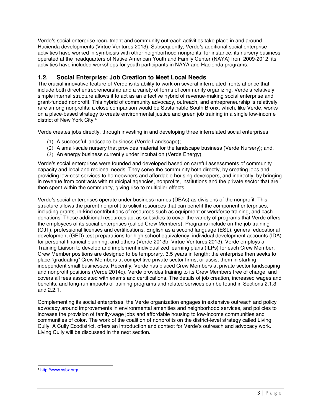Verde's social enterprise recruitment and community outreach activities take place in and around Hacienda developments (Virtue Ventures 2013). Subsequently, Verde's additional social enterprise activities have worked in symbiosis with other neighborhood nonprofits: for instance, its nursery business operated at the headquarters of Native American Youth and Family Center (NAYA) from 2009-2012; its activities have included workshops for youth participants in NAYA and Hacienda programs.

## **1.2. Social Enterprise: Job Creation to Meet Local Needs**

The crucial innovative feature of Verde is its ability to work on several interrelated fronts at once that include both direct entrepreneurship and a variety of forms of community organizing. Verde's relatively simple internal structure allows it to act as an effective hybrid of revenue-making social enterprise and grant-funded nonprofit. This hybrid of community advocacy, outreach, and entrepreneurship is relatively rare among nonprofits: a close comparison would be Sustainable South Bronx, which, like Verde, works on a place-based strategy to create environmental justice and green job training in a single low-income district of New York City.4

Verde creates jobs directly, through investing in and developing three interrelated social enterprises:

- (1) A successful landscape business (Verde Landscape);
- (2) A small-scale nursery that provides material for the landscape business (Verde Nursery); and,
- (3) An energy business currently under incubation (Verde Energy).

Verde's social enterprises were founded and developed based on careful assessments of community capacity and local and regional needs. They serve the community both directly, by creating jobs and providing low-cost services to homeowners and affordable housing developers, and indirectly, by bringing in revenue from contracts with municipal agencies, nonprofits, institutions and the private sector that are then spent within the community, giving rise to multiplier effects.

Verde's social enterprises operate under business names (DBAs) as divisions of the nonprofit. This structure allows the parent nonprofit to solicit resources that can benefit the component enterprises, including grants, in-kind contributions of resources such as equipment or workforce training, and cash donations. These additional resources act as subsidies to cover the variety of programs that Verde offers the employees of its social enterprises (called Crew Members). Programs include on-the-job training (OJT), professional licenses and certifications, English as a second language (ESL), general educational development (GED) test preparations for high school equivalency, individual development accounts (IDA) for personal financial planning, and others (Verde 2013b; Virtue Ventures 2013). Verde employs a Training Liaison to develop and implement individualized learning plans (ILPs) for each Crew Member. Crew Member positions are designed to be temporary, 3.5 years in length: the enterprise then seeks to place "graduating" Crew Members at competitive private sector firms, or assist them in starting independent small businesses. Recently, Verde has placed Crew Members at private sector landscaping and nonprofit positions (Verde 2014c). Verde provides training to its Crew Members free of charge, and covers all fees associated with exams and certifications. The details of job creation, increased wages and benefits, and long-run impacts of training programs and related services can be found in Sections 2.1.3 and 2.2.1.

Complementing its social enterprises, the Verde organization engages in extensive outreach and policy advocacy around improvements in environmental amenities and neighborhood services, and policies to increase the provision of family-wage jobs and affordable housing to low-income communities and communities of color. The work of the coalition of nonprofits on the district-level strategy called Living Cully: A Cully Ecodistrict, offers an introduction and context for Verde's outreach and advocacy work. Living Cully will be discussed in the next section.

 <sup>4</sup> http://www.ssbx.org/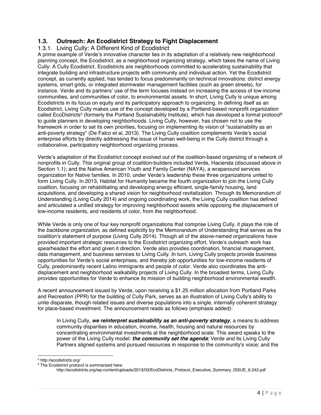## **1.3. Outreach: An Ecodistrict Strategy to Fight Displacement**

#### 1.3.1. Living Cully: A Different Kind of Ecodistrict

A prime example of Verde's innovative character lies in its adaptation of a relatively new neighborhood planning concept, the Ecodistrict, as a neighborhood organizing strategy, which takes the name of Living Cully: A Cully Ecodistrict. Ecodistricts are neighborhoods committed to accelerating sustainability that integrate building and infrastructure projects with community and individual action. Yet the Ecodistrict concept, as currently applied, has tended to focus predominantly on technical innovations: district energy systems, smart grids, or integrated stormwater management facilities (such as green streets), for instance. Verde and its partners' use of the term focuses instead on increasing the access of low-income communities, and communities of color, to environmental assets. In short, Living Cully is unique among Ecodistricts in its focus on equity and its participatory approach to organizing. In defining itself as an Ecodistrict, Living Cully makes use of the concept developed by a Portland-based nonprofit organization called EcoDistricts<sup>5</sup> (formerly the Portland Sustainability Institute), which has developed a formal protocol<sup>6</sup> to guide planners in developing neighborhoods. Living Cully, however, has chosen not to use the framework in order to set its own priorities, focusing on implementing its vision of "sustainability as an anti-poverty strategy" (De Falco et al, 2013). The Living Cully coalition complements Verde's social enterprise efforts by directly addressing the issue of human well-being in the Cully district through a collaborative, participatory neighborhood organizing process.

Verde's adaptation of the Ecodistrict concept evolved out of the coalition-based organizing of a network of nonprofits in Cully. This original group of coalition-builders included Verde, Hacienda (discussed above in Section 1.1); and the Native American Youth and Family Center (NAYA), a wraparound services organization for Native families. In 2010, under Verde's leadership these three organizations united to form Living Cully. In 2013, Habitat for Humanity became the fourth organization to join the Living Cully coalition, focusing on rehabilitating and developing energy efficient, single-family housing, land acquisitions, and developing a shared vision for neighborhood revitalization. Through its Memorandum of Understanding (Living Cully 2014) and ongoing coordinating work, the Living Cully coalition has defined and articulated a unified strategy for improving neighborhood assets while opposing the displacement of low-income residents, and residents of color, from the neighborhood.

While Verde is only one of four key nonprofit organizations that comprise Living Cully, it plays the role of the *backbone organization*, as defined explicitly by the Memorandum of Understanding that serves as the coalition's statement of purpose (Living Cully 2014). Though all of the above-named organizations have provided important strategic resources to the Ecodistrict organizing effort, Verde's outreach work has spearheaded the effort and given it direction. Verde also provides coordination, financial management, data management, and business services to Living Cully. In turn, Living Cully projects provide business opportunities for Verde's social enterprises, and thereby job opportunities for low-income residents of Cully, predominantly recent Latino immigrants and people of color. Verde also coordinates the antidisplacement and neighborhood walkability projects of Living Cully. In the broadest terms, Living Cully provides opportunities for Verde to enhance its mission of building neighborhood environmental wealth.

A recent announcement issued by Verde, upon receiving a \$1.25 million allocation from Portland Parks and Recreation (PPR) for the building of Cully Park, serves as an illustration of Living Cully's ability to unite disparate, though related issues and diverse populations into a single, internally coherent strategy for place-based investment. The announcement reads as follows (emphasis added):

In Living Cully, *we reinterpret sustainability as an anti-poverty strategy*, a means to address community disparities in education, income, health, housing and natural resources by concentrating environmental investments at the neighborhood scale. This award speaks to the power of the Living Cully model: *the community set the agenda*; Verde and its Living Cully Partners aligned systems and pursued resources in response to the community's voice; and the

<sup>-&</sup>lt;br>5 http://ecodistricts.org/

<sup>6</sup> The Ecodistrict protocol is summarized here:

http://ecodistricts.org/wp-content/uploads/2013/03/EcoDistricts\_Protocol\_Executive\_Summary\_ISSUE\_6.242.pdf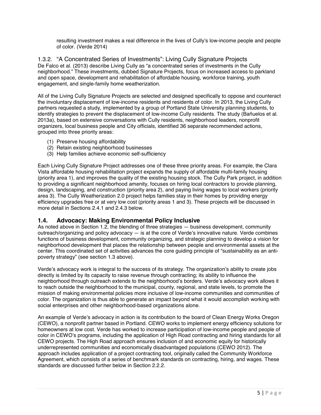resulting investment makes a real difference in the lives of Cully's low-income people and people of color. (Verde 2014)

1.3.2. "A Concentrated Series of Investments": Living Cully Signature Projects De Falco et al. (2013) describe Living Cully as "a concentrated series of investments in the Cully neighborhood." These investments, dubbed Signature Projects, focus on increased access to parkland and open space, development and rehabilitation of affordable housing, workforce training, youth engagement, and single-family home weatherization.

All of the Living Cully Signature Projects are selected and designed specifically to oppose and counteract the involuntary displacement of low-income residents and residents of color. In 2013, the Living Cully partners requested a study, implemented by a group of Portland State University planning students, to identify strategies to prevent the displacement of low-income Cully residents. The study (Bañuelos et al. 2013a), based on extensive conversations with Cully residents, neighborhood leaders, nonprofit organizers, local business people and City officials, identified 36 separate recommended actions, grouped into three priority areas:

- (1) Preserve housing affordability
- (2) Retain existing neighborhood businesses
- (3) Help families achieve economic self-sufficiency

Each Living Cully Signature Project addresses one of these three priority areas. For example, the Clara Vista affordable housing rehabilitation project expands the supply of affordable multi-family housing (priority area 1), and improves the quality of the existing housing stock. The Cully Park project, in addition to providing a significant neighborhood amenity, focuses on hiring local contractors to provide planning, design, landscaping, and construction (priority area 2), and paying living wages to local workers (priority area 3). The Cully Weatherization 2.0 project helps families stay in their homes by providing energy efficiency upgrades free or at very low cost (priority areas 1 and 3). These projects will be discussed in more detail in Sections 2.4.1 and 2.4.3 below.

#### **1.4. Advocacy: Making Environmental Policy Inclusive**

As noted above in Section 1.2, the blending of three strategies — business development, community outreach/organizing and policy advocacy — is at the core of Verde's innovative nature. Verde combines functions of business development, community organizing, and strategic planning to develop a vision for neighborhood development that places the relationship between people and environmental assets at the center. This coordinated set of activities advances the core guiding principle of "sustainability as an antipoverty strategy" (see section 1.3 above).

Verde's advocacy work is integral to the success of its strategy. The organization's ability to create jobs directly is limited by its capacity to raise revenue through contracting; its ability to influence the neighborhood through outreach extends to the neighborhood's borders. Verde's advocacy work allows it to reach outside the neighborhood to the municipal, county, regional, and state levels, to promote the mission of making environmental policies more inclusive of low-income communities and communities of color. The organization is thus able to generate an impact beyond what it would accomplish working with social enterprises and other neighborhood-based organizations alone.

An example of Verde's advocacy in action is its contribution to the board of Clean Energy Works Oregon (CEWO), a nonprofit partner based in Portland. CEWO works to implement energy efficiency solutions for homeowners at low cost. Verde has worked to increase participation of low-income people and people of color in CEWO's programs, including the application of High Road contracting and hiring standards for all CEWO projects. The High Road approach ensures inclusion of and economic equity for historically underrepresented communities and economically disadvantaged populations (CEWO 2012). The approach includes application of a project contracting tool, originally called the Community Workforce Agreement, which consists of a series of benchmark standards on contracting, hiring, and wages. These standards are discussed further below in Section 2.2.2.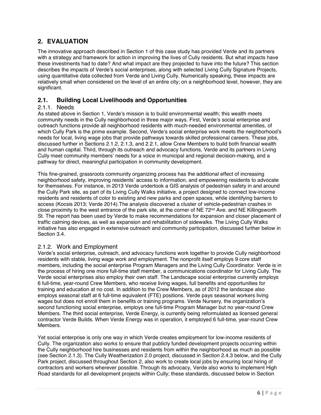# **2. EVALUATION**

The innovative approach described in Section 1 of this case study has provided Verde and its partners with a strategy and framework for action in improving the lives of Cully residents. But what impacts have these investments had to date? And what impact are they projected to have into the future? This section describes the impacts of Verde's social enterprises, along with selected Living Cully Signature Projects, using quantitative data collected from Verde and Living Cully. Numerically speaking, these impacts are relatively small when considered on the level of an entire city; on a neighborhood level, however, they are significant.

## **2.1. Building Local Livelihoods and Opportunities**

#### 2.1.1. Needs

As stated above in Section 1, Verde's mission is to build environmental wealth; this wealth meets community needs in the Cully neighborhood in three major ways. First, Verde's social enterprise and outreach functions provide all neighborhood residents with much-needed environmental amenities, of which Cully Park is the prime example. Second, Verde's social enterprise work meets the neighborhood's needs for local, living wage jobs that provide pathways towards skilled professional careers. These jobs, discussed further in Sections 2.1.2, 2.1.3, and 2.2.1, allow Crew Members to build both financial wealth and human capital. Third, through its outreach and advocacy functions, Verde and its partners in Living Cully meet community members' needs for a voice in municipal and regional decision-making, and a pathway for direct, meaningful participation in community development.

This fine-grained, grassroots community organizing process has the additional effect of increasing neighborhood safety, improving residents' access to information, and empowering residents to advocate for themselves. For instance, in 2013 Verde undertook a GIS analysis of pedestrian safety in and around the Cully Park site, as part of its Living Cully Walks initiative, a project designed to connect low-income residents and residents of color to existing and new parks and open spaces, while identifying barriers to access (Kocsis 2013; Verde 2014).The analysis discovered a cluster of vehicle-pedestrian crashes in close proximity to the west entrance of the park site, at the corner of NE 72<sup>nd</sup> Ave. and NE Killingsworth St. The report has been used by Verde to make recommendations for expansion and closer placement of traffic calming devices, as well as expansion and rehabilitation of sidewalks. The Living Cully Walks initiative has also engaged in extensive outreach and community participation, discussed further below in Section 3.4.

#### 2.1.2. Work and Employment

Verde's social enterprise, outreach, and advocacy functions work together to provide Cully neighborhood residents with stable, living wage work and employment. The nonprofit itself employs 9 core staff members, including the social enterprise Program Managers and the Living Cully Coordinator. Verde is in the process of hiring one more full-time staff member, a communications coordinator for Living Cully. The Verde social enterprises also employ their own staff. The Landscape social enterprise currently employs 6 full-time, year-round Crew Members, who receive living wages, full benefits and opportunities for training and education at no cost. In addition to the Crew Members, as of 2012 the landscape also employs seasonal staff at 6 full-time equivalent (FTE) positions. Verde pays seasonal workers living wages but does not enroll them in benefits or training programs. Verde Nursery, the organization's second functioning social enterprise, employs one full-time Program Manager but no year-round Crew Members. The third social enterprise, Verde Energy, is currently being reformulated as licensed general contractor Verde Builds. When Verde Energy was in operation, it employed 6 full-time, year-round Crew Members.

Yet social enterprise is only one way in which Verde creates employment for low-income residents of Cully. The organization also works to ensure that publicly funded development projects occurring within the Cully neighborhood hire businesses and residents from within the neighborhood as much as possible (see Section 2.1.3). The Cully Weatherization 2.0 project, discussed in Section 2.4.3 below, and the Cully Park project, discussed throughout Section 2, also work to create local jobs by ensuring local hiring of contractors and workers wherever possible. Through its advocacy, Verde also works to implement High Road standards for all development projects within Cully; these standards, discussed below in Section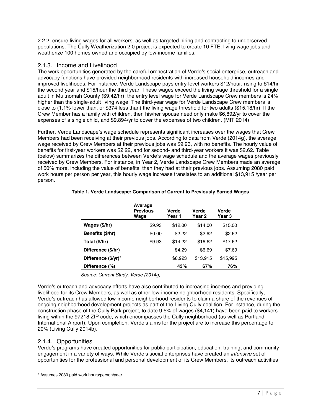2.2.2, ensure living wages for all workers, as well as targeted hiring and contracting to underserved populations. The Cully Weatherization 2.0 project is expected to create 10 FTE, living wage jobs and weatherize 100 homes owned and occupied by low-income families.

#### 2.1.3. Income and Livelihood

The work opportunities generated by the careful orchestration of Verde's social enterprise, outreach and advocacy functions have provided neighborhood residents with increased household incomes and improved livelihoods. For instance, Verde Landscape pays entry-level workers \$12/hour, rising to \$14/hr the second year and \$15/hour the third year. These wages exceed the living wage threshold for a single adult in Multnomah County (\$9.42/hr); the entry level wage for Verde Landscape Crew members is 24% higher than the single-adult living wage. The third-year wage for Verde Landscape Crew members is close to (1.1% lower than, or \$374 less than) the living wage threshold for two adults (\$15.18/hr). If the Crew Member has a family with children, then his/her spouse need only make \$6,892/yr to cover the expenses of a single child, and \$9,894/yr to cover the expenses of two children. (MIT 2014)

Further, Verde Landscape's wage schedule represents significant increases over the wages that Crew Members had been receiving at their previous jobs. According to data from Verde (2014g), the average wage received by Crew Members at their previous jobs was \$9.93, with no benefits. The hourly value of benefits for first-year workers was \$2.22, and for second- and third-year workers it was \$2.62. Table 1 (below) summarizes the differences between Verde's wage schedule and the average wages previously received by Crew Members. For instance, in Year 2, Verde Landscape Crew Members made an average of 50% more, including the value of benefits, than they had at their previous jobs. Assuming 2080 paid work hours per person per year, this hourly wage increase translates to an additional \$13,915 /year per person.

|                               | Average<br><b>Previous</b><br>Waqe | Verde<br>Year 1 | Verde<br>Year 2 | Verde<br>Year 3 |
|-------------------------------|------------------------------------|-----------------|-----------------|-----------------|
| Wages (\$/hr)                 | \$9.93                             | \$12.00         | \$14.00         | \$15.00         |
| Benefits (\$/hr)              | \$0.00                             | \$2.22          | \$2.62          | \$2.62          |
| Total (\$/hr)                 | \$9.93                             | \$14.22         | \$16.62         | \$17.62         |
| Difference (\$/hr)            |                                    | \$4.29          | \$6.69          | \$7.69          |
| Difference $(\frac{5}{yr})^7$ |                                    | \$8,923         | \$13,915        | \$15,995        |
| Difference (%)                |                                    | 43%             | 67%             | 76%             |

#### **Table 1. Verde Landscape: Comparison of Current to Previously Earned Wages**

*Source: Current Study, Verde (2014g)* 

Verde's outreach and advocacy efforts have also contributed to increasing incomes and providing livelihood for its Crew Members, as well as other low-income neighborhood residents. Specifically, Verde's outreach has allowed low-income neighborhood residents to claim a share of the revenues of ongoing neighborhood development projects as part of the Living Cully coalition. For instance, during the construction phase of the Cully Park project, to date 9.5% of wages (\$4,141) have been paid to workers living within the 97218 ZIP code, which encompasses the Cully neighborhood (as well as Portland International Airport). Upon completion, Verde's aims for the project are to increase this percentage to 20% (Living Cully 2014b).

#### 2.1.4. Opportunities

Verde's programs have created opportunities for public participation, education, training, and community engagement in a variety of ways. While Verde's social enterprises have created an *intensive* set of opportunities for the professional and personal development of its Crew Members, its outreach activities

 $\frac{1}{7}$ <sup>7</sup> Assumes 2080 paid work hours/person/year.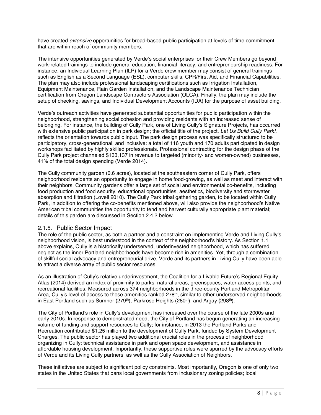have created *extensive* opportunities for broad-based public participation at levels of time commitment that are within reach of community members.

The intensive opportunities generated by Verde's social enterprises for their Crew Members go beyond work-related trainings to include general education, financial literacy, and entrepreneurship readiness. For instance, an Individual Learning Plan (ILP) for a Verde crew member may consist of general trainings such as English as a Second Language (ESL), computer skills, CPR/First Aid, and Financial Capabilities. The plan may also include professional landscaping certifications such as Irrigation Installation, Equipment Maintenance, Rain Garden Installation, and the Landscape Maintenance Technician certification from Oregon Landscape Contractors Association (OLCA). Finally, the plan may include the setup of checking, savings, and Individual Development Accounts (IDA) for the purpose of asset building.

Verde's outreach activities have generated substantial opportunities for public participation within the neighborhood, strengthening social cohesion and providing residents with an increased sense of belonging. For instance, the building of Cully Park, one of Living Cully's Signature Projects, has occurred with extensive public participation in park design; the official title of the project, *Let Us Build Cully Park!*, reflects the orientation towards public input. The park design process was specifically structured to be participatory, cross-generational, and inclusive: a total of 116 youth and 170 adults participated in design workshops facilitated by highly skilled professionals. Professional contracting for the design phase of the Cully Park project channeled \$133,137 in revenue to targeted (minority- and women-owned) businesses, 41% of the total design spending (Verde 2014).

The Cully community garden (0.6 acres), located at the southeastern corner of Cully Park, offers neighborhood residents an opportunity to engage in home food-growing, as well as meet and interact with their neighbors. Community gardens offer a large set of social and environmental co-benefits, including food production and food security, educational opportunities, aesthetics, biodiversity and stormwater absorption and filtration (Lovell 2010). The Cully Park tribal gathering garden, to be located within Cully Park, in addition to offering the co-benefits mentioned above, will also provide the neighborhood's Native American tribal communities the opportunity to tend and harvest culturally appropriate plant material; details of this garden are discussed in Section 2.4.2 below.

#### 2.1.5. Public Sector Impact

The role of the public sector, as both a partner and a constraint on implementing Verde and Living Cully's neighborhood vision, is best understood in the context of the neighborhood's history. As Section 1.1 above explains, Cully is a historically underserved, underinvested neighborhood, which has suffered neglect as the inner Portland neighborhoods have become rich in amenities. Yet, through a combination of skillful social advocacy and entrepreneurial drive, Verde and its partners in Living Cully have been able to attract a diverse array of public sector resources.

As an illustration of Cully's relative underinvestment, the Coalition for a Livable Future's Regional Equity Atlas (2014) derived an index of proximity to parks, natural areas, greenspaces, water access points, and recreational facilities. Measured across 374 neighborhoods in the three-county Portland Metropolitan Area, Cully's level of access to these amenities ranked 278<sup>th</sup>, similar to other underserved neighborhoods in East Portland such as Sumner ( $279<sup>th</sup>$ ), Parkrose Heights ( $280<sup>th</sup>$ ), and Argay ( $298<sup>th</sup>$ ).

The City of Portland's role in Cully's development has increased over the course of the late 2000s and early 2010s. In response to demonstrated need, the City of Portland has begun generating an increasing volume of funding and support resources to Cully; for instance, in 2013 the Portland Parks and Recreation contributed \$1.25 million to the development of Cully Park, funded by System Development Charges. The public sector has played two additional crucial roles in the process of neighborhood organizing in Cully: technical assistance in park and open space development, and assistance in affordable housing development. Importantly, these supportive roles were spurred by the advocacy efforts of Verde and its Living Cully partners, as well as the Cully Association of Neighbors.

These initiatives are subject to significant policy constraints. Most importantly, Oregon is one of only two states in the United States that bans local governments from inclusionary zoning policies; local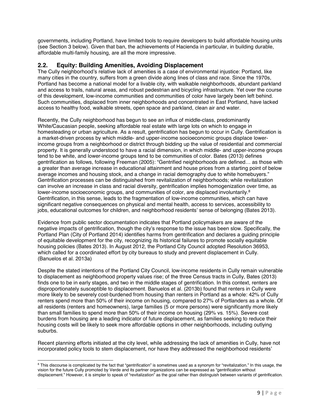governments, including Portland, have limited tools to require developers to build affordable housing units (see Section 3 below). Given that ban, the achievements of Hacienda in particular, in building durable, affordable multi-family housing, are all the more impressive.

## **2.2. Equity: Building Amenities, Avoiding Displacement**

The Cully neighborhood's relative lack of amenities is a case of environmental injustice: Portland, like many cities in the country, suffers from a green divide along lines of class and race. Since the 1970s, Portland has become a national model for a livable city, with walkable neighborhoods, abundant parkland and access to trails, natural areas, and robust pedestrian and bicycling infrastructure. Yet over the course of this development, low-income communities and communities of color have largely been left behind. Such communities, displaced from inner neighborhoods and concentrated in East Portland, have lacked access to healthy food, walkable streets, open space and parkland, clean air and water.

Recently, the Cully neighborhood has begun to see an influx of middle-class, predominantly White/Caucasian people, seeking affordable real estate with large lots on which to engage in homesteading or urban agriculture. As a result, gentrification has begun to occur in Cully. Gentrification is a market-driven process by which middle- and upper-income socioeconomic groups displace lowerincome groups from a neighborhood or district through bidding up the value of residential and commercial property. It is generally understood to have a racial dimension, in which middle- and upper-income groups tend to be white, and lower-income groups tend to be communities of color. Bates (2013) defines gentrification as follows, following Freeman (2005): "Gentrified neighborhoods are defined… as those with a greater than average increase in educational attainment and house prices from a starting point of below average incomes and housing stock, and a change in racial demography due to white homebuyers." Gentrification processes can be distinguished from revitalization of neighborhoods; while revitalization can involve an increase in class and racial diversity, gentrification implies homogenization over time, as lower-income socioeconomic groups, and communities of color, are displaced involuntarily.<sup>8</sup> Gentrification, in this sense, leads to the fragmentation of low-income communities, which can have significant negative consequences on physical and mental health, access to services, accessibility to jobs, educational outcomes for children, and neighborhood residents' sense of belonging (Bates 2013).

Evidence from public sector documentation indicates that Portland policymakers are aware of the negative impacts of gentrification, though the city's response to the issue has been slow. Specifically, the Portland Plan (City of Portland 2014) identifies harms from gentrification and declares a guiding principle of equitable development for the city, recognizing its historical failures to promote socially equitable housing policies (Bates 2013). In August 2012, the Portland City Council adopted Resolution 36953, which called for a coordinated effort by city bureaus to study and prevent displacement in Cully. (Banuelos et al. 2013a)

Despite the stated intentions of the Portland City Council, low-income residents in Cully remain vulnerable to displacement as neighborhood property values rise; of the three Census tracts in Cully, Bates (2013) finds one to be in early stages, and two in the middle stages of gentrification. In this context, renters are disproportionately susceptible to displacement. Banuelos et al. (2013b) found that renters in Cully were more likely to be severely cost-burdened from housing than renters in Portland as a whole: 42% of Cully renters spend more than 50% of their income on housing, compared to 27% of Portlanders as a whole. Of all residents (renters and homeowners), large families (5 or more persons) were significantly more likely than small families to spend more than 50% of their income on housing (29% vs. 15%). Severe cost burdens from housing are a leading indicator of future displacement, as families seeking to reduce their housing costs will be likely to seek more affordable options in other neighborhoods, including outlying suburbs.

Recent planning efforts initiated at the city level, while addressing the lack of amenities in Cully, have not incorporated policy tools to stem displacement, nor have they addressed the neighborhood residents'

<sup>-&</sup>lt;br>8 <sup>8</sup> This discourse is complicated by the fact that "gentrification" is sometimes used as a synonym for "revitalization." In this usage, the vision for the future Cully promoted by Verde and its partner organizations can be expressed as "gentrification without displacement." However, it is simpler to speak of "revitalization" as the goal rather than distinguish between variants of gentrification.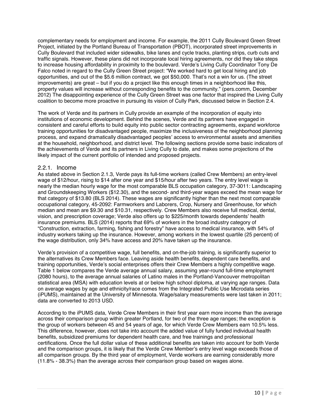complementary needs for employment and income. For example, the 2011 Cully Boulevard Green Street Project, initiated by the Portland Bureau of Transportation (PBOT), incorporated street improvements in Cully Boulevard that included wider sidewalks, bike lanes and cycle tracks, planting strips, curb cuts and traffic signals. However, these plans did not incorporate local hiring agreements, nor did they take steps to increase housing affordability in proximity to the boulevard. Verde's Living Cully Coordinator Tony De Falco noted in regard to the Cully Green Street project: "We worked hard to get local hiring and job opportunities, and out of the \$5.6 million contract, we got \$50,000. That's not a win for us. (The street improvements) are great – but if you do a project like this enough times in a neighborhood like this, property values will increase without corresponding benefits to the community." (pers.comm, December 2012) The disappointing experience of the Cully Green Street was one factor that inspired the Living Cully coalition to become more proactive in pursuing its vision of Cully Park, discussed below in Section 2.4.

The work of Verde and its partners in Cully provide an example of the incorporation of equity into institutions of economic development. Behind the scenes, Verde and its partners have engaged in consistent and careful efforts to build equity into public sector contracting agreements, expand workforce training opportunities for disadvantaged people, maximize the inclusiveness of the neighborhood planning process, and expand dramatically disadvantaged peoples' access to environmental assets and amenities at the household, neighborhood, and district level. The following sections provide some basic indicators of the achievements of Verde and its partners in Living Cully to date, and makes some projections of the likely impact of the current portfolio of intended and proposed projects.

#### 2.2.1. Income

As stated above in Section 2.1.3, Verde pays its full-time workers (called Crew Members) an entry-level wage of \$12/hour, rising to \$14 after one year and \$15/hour after two years. The entry level wage is nearly the median hourly wage for the most comparable BLS occupation category, 37-3011: Landscaping and Groundskeeping Workers (\$12.30), and the second- and third-year wages exceed the mean wage for that category of \$13.80 (BLS 2014). These wages are significantly higher than the next most comparable occupational category, 45-2092: Farmworkers and Laborers, Crop, Nursery and Greenhouse, for which median and mean are \$9.30 and \$10.31, respectively. Crew Members also receive full medical, dental, vision, and prescription coverage; Verde also offers up to \$225/month towards dependents' health insurance premiums. BLS (2014) reports that 69% of workers in the broad industry category of "Construction, extraction, farming, fishing and forestry" have access to medical insurance, with 54% of industry workers taking up the insurance. However, among workers in the lowest quartile (25 percent) of the wage distribution, only 34% have access and 20% have taken up the insurance.

Verde's provision of a competitive wage, full benefits, and on-the-job training, is significantly superior to the alternatives its Crew Members face. Leaving aside health benefits, dependent care benefits, and training opportunities, Verde's social enterprises offers their Crew Members a highly competitive wage. Table 1 below compares the Verde average annual salary, assuming year-round full-time employment (2080 hours), to the average annual salaries of Latino males in the Portland-Vancouver metropolitan statistical area (MSA) with education levels at or below high school diploma, at varying age ranges. Data on average wages by age and ethnicity/race comes from the Integrated Public Use Microdata series (iPUMS), maintained at the University of Minnesota. Wage/salary measurements were last taken in 2011; data are converted to 2013 USD.

According to the iPUMS data, Verde Crew Members in their first year earn more income than the average across their comparison group within greater Portland, for two of the three age ranges; the exception is the group of workers between 45 and 54 years of age, for which Verde Crew Members earn 10.5% less. This difference, however, does not take into account the added value of fully funded individual health benefits, subsidized premiums for dependent health care, and free trainings and professional certifications. Once the full dollar value of these additional benefits are taken into account for both Verde and the comparison groups, it is likely that the Verde Crew Member's entry level wage exceeds those of all comparison groups. By the third year of employment, Verde workers are earning considerably more (11.8% - 38.3%) than the average across their comparison group based on wages alone.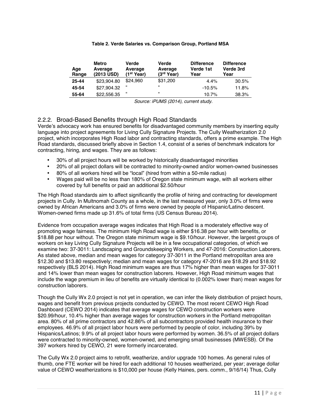#### **Table 2. Verde Salaries vs. Comparison Group, Portland MSA**

| Age<br>Range | Metro<br>Average<br>(2013 USD) | Verde<br>Average<br>(1 <sup>st</sup> Year) | Verde<br>Average<br>(3 <sup>rd</sup> Year) | <b>Difference</b><br>Verde 1st<br>Year | <b>Difference</b><br>Verde 3rd<br>Year |
|--------------|--------------------------------|--------------------------------------------|--------------------------------------------|----------------------------------------|----------------------------------------|
| 25-44        | \$23.904.80                    | \$24.960                                   | \$31,200                                   | 4.4%                                   | 30.5%                                  |
| 45-54        | \$27.904.32                    | "                                          | $^{16}$                                    | $-10.5%$                               | 11.8%                                  |
| 55-64        | \$22.556.35                    | "                                          | $\epsilon$                                 | 10.7%                                  | 38.3%                                  |

 *Source: iPUMS (2014), current study.* 

#### 2.2.2. Broad-Based Benefits through High Road Standards

Verde's advocacy work has ensured benefits for disadvantaged community members by inserting equity language into project agreements for Living Cully Signature Projects. The Cully Weatherization 2.0 project, which incorporates High Road labor and contracting standards, offers a prime example. The High Road standards, discussed briefly above in Section 1.4, consist of a series of benchmark indicators for contracting, hiring, and wages. They are as follows:

- 30% of all project hours will be worked by historically disadvantaged minorities
- 20% of all project dollars will be contracted to minority-owned and/or women-owned businesses
- 80% of all workers hired will be "local" (hired from within a 50-mile radius)
- Wages paid will be no less than 180% of Oregon state minimum wage, with all workers either covered by full benefits or paid an additional \$2.50/hour

The High Road standards aim to affect significantly the profile of hiring and contracting for development projects in Cully. In Multnomah County as a whole, in the last measured year, only 3.0% of firms were owned by African Americans and 3.0% of firms were owned by people of Hispanic/Latino descent. Women-owned firms made up 31.6% of total firms (US Census Bureau 2014).

Evidence from occupation average wages indicates that High Road is a moderately effective way of promoting wage fairness. The minimum High Road wage is either \$16.38 per hour with benefits, or \$18.88 per hour without. The Oregon state minimum wage is \$9.10/hour. However, the largest groups of workers on key Living Cully Signature Projects will be in a few occupational categories, of which we examine two: 37-3011: Landscaping and Groundskeeping Workers, and 47-2016: Construction Laborers. As stated above, median and mean wages for category 37-3011 in the Portland metropolitan area are \$12.30 and \$13.80 respectively; median and mean wages for category 47-2016 are \$18.29 and \$18.92 respectively (BLS 2014). High Road minimum wages are thus 17% higher than mean wages for 37-3011 and 14% lower than mean wages for construction laborers. However, High Road minimum wages that include the wage premium in lieu of benefits are virtually identical to (0.002% lower than) mean wages for construction laborers.

Though the Cully Wx 2.0 project is not yet in operation, we can infer the likely distribution of project hours, wages and benefit from previous projects conducted by CEWO. The most recent CEWO High Road Dashboard (CEWO 2014) indicates that average wages for CEWO construction workers were \$20.99/hour, 10.4% higher than average wages for construction workers in the Portland metropolitan area. 80% of all prime contractors and 42.86% of all subcontractors provided health insurance to their employees. 46.9% of all project labor hours were performed by people of color, including 39% by Hispanics/Latinos; 9.9% of all project labor hours were performed by women. 36.5% of all project dollars were contracted to minority-owned, women-owned, and emerging small businesses (MWESB). Of the 397 workers hired by CEWO, 21 were formerly incarcerated.

The Cully Wx 2.0 project aims to retrofit, weatherize, and/or upgrade 100 homes. As general rules of thumb, one FTE worker will be hired for each additional 10 houses weatherized, per year; average dollar value of CEWO weatherizations is \$10,000 per house (Kelly Haines, pers. comm., 9/16/14) Thus, Cully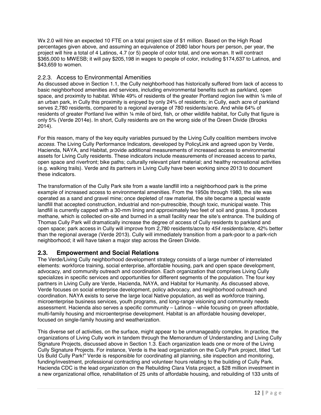Wx 2.0 will hire an expected 10 FTE on a total project size of \$1 million. Based on the High Road percentages given above, and assuming an equivalence of 2080 labor hours per person, per year, the project will hire a total of 4 Latinos, 4.7 (or 5) people of color total, and one woman. It will contract \$365,000 to MWESB; it will pay \$205,198 in wages to people of color, including \$174,637 to Latinos, and \$43,659 to women.

#### 2.2.3. Access to Environmental Amenities

As discussed above in Section 1.1, the Cully neighborhood has historically suffered from lack of access to basic neighborhood amenities and services, including environmental benefits such as parkland, open space, and proximity to habitat. While 49% of residents of the greater Portland region live within 1/4 mile of an urban park, in Cully this proximity is enjoyed by only 24% of residents; in Cully, each acre of parkland serves 2,780 residents, compared to a regional average of 780 residents/acre. And while 64% of residents of greater Portland live within ¼ mile of bird, fish, or other wildlife habitat, for Cully that figure is only 5% (Verde 2014e). In short, Cully residents are on the wrong side of the Green Divide (Brooks 2014).

For this reason, many of the key equity variables pursued by the Living Cully coalition members involve *access.* The Living Cully Performance Indicators, developed by PolicyLink and agreed upon by Verde, Hacienda, NAYA, and Habitat, provide additional measurements of increased access to environmental assets for Living Cully residents. These indicators include measurements of increased access to parks, open space and riverfront; bike paths; culturally relevant plant material; and healthy recreational activities (e.g. walking trails). Verde and its partners in Living Cully have been working since 2013 to document these indicators.

The transformation of the Cully Park site from a waste landfill into a neighborhood park is the prime example of increased access to environmental amenities. From the 1950s through 1980, the site was operated as a sand and gravel mine; once depleted of raw material, the site became a special waste landfill that accepted construction, industrial and non-putrescible, though toxic, municipal waste. This landfill is currently capped with a 30-mm lining and approximately two feet of soil and grass. It produces methane, which is collected on-site and burned in a small facility near the site's entrance. The building of Thomas Cully Park will dramatically increase the degree of access of Cully residents to parkland and open space; park access in Cully will improve from 2,780 residents/acre to *454 residents/acre*, 42% better than the regional average (Verde 2013). Cully will immediately transition from a park-poor to a park-rich neighborhood; it will have taken a major step across the Green Divide.

#### **2.3. Empowerment and Social Relations**

The Verde/Living Cully neighborhood development strategy consists of a large number of interrelated elements: workforce training, social enterprise, affordable housing, park and open space development, advocacy, and community outreach and coordination. Each organization that comprises Living Cully specializes in specific services and opportunities for different segments of the population. The four key partners in Living Cully are Verde, Hacienda, NAYA, and Habitat for Humanity. As discussed above, Verde focuses on social enterprise development, policy advocacy, and neighborhood outreach and coordination. NAYA exists to serve the large local Native population, as well as workforce training, microenterprise business services, youth programs, and long-range visioning and community needs assessment. Hacienda also serves a specific community – Latinos – while focusing on green affordable, multi-family housing and microenterprise development. Habitat is an affordable housing developer, focused on single-family housing and weatherization.

This diverse set of activities, on the surface, might appear to be unmanageably complex. In practice, the organizations of Living Cully work in tandem through the Memorandum of Understanding and Living Cully Signature Projects, discussed above in Section 1.3. Each organization leads one or more of the Living Cully Signature Projects. For instance, Verde is the lead organization on the Cully Park project, titled "Let Us Build Cully Park!" Verde is responsible for coordinating all planning, site inspection and monitoring, funding/investment, professional contracting and volunteer hours relating to the building of Cully Park. Hacienda CDC is the lead organization on the Rebuilding Clara Vista project, a \$28 million investment in a new organizational office, rehabilitation of 25 units of affordable housing, and rebuilding of 133 units of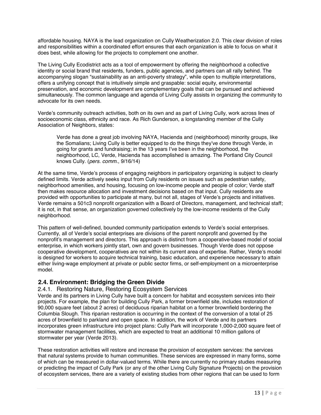affordable housing. NAYA is the lead organization on Cully Weatherization 2.0. This clear division of roles and responsibilities within a coordinated effort ensures that each organization is able to focus on what it does best, while allowing for the projects to complement one another.

The Living Cully Ecodistrict acts as a tool of empowerment by offering the neighborhood a collective identity or social brand that residents, funders, public agencies, and partners can all rally behind. The accompanying slogan "sustainability as an anti-poverty strategy", while open to multiple interpretations, offers a unifying concept that is intuitively simple and graspable: social equity, environmental preservation, and economic development are complementary goals that can be pursued and achieved simultaneously. The common language and agenda of Living Cully assists in organizing the community to advocate for its own needs.

Verde's community outreach activities, both on its own and as part of Living Cully, work across lines of socioeconomic class, ethnicity and race. As Rich Gunderson, a longstanding member of the Cully Association of Neighbors, states:

Verde has done a great job involving NAYA, Hacienda and (neighborhood) minority groups, like the Somalians; Living Cully is better equipped to do the things they've done through Verde, in going for grants and fundraising; in the 13 years I've been in the neighborhood, the neighborhood, LC, Verde, Hacienda has accomplished is amazing. The Portland City Council knows Cully. (*pers. comm*., 9/16/14)

At the same time, Verde's process of engaging neighbors in participatory organizing is subject to clearly defined limits. Verde actively seeks input from Cully residents on issues such as pedestrian safety, neighborhood amenities, and housing, focusing on low-income people and people of color; Verde staff then makes resource allocation and investment decisions based on that input. Cully residents are provided with opportunities to participate at many, but not all, stages of Verde's projects and initiatives. Verde remains a 501c3 nonprofit organization with a Board of Directors, management, and technical staff; it is not, in that sense, an organization governed collectively by the low-income residents of the Cully neighborhood.

This pattern of well-defined, bounded community participation extends to Verde's social enterprises. Currently, all of Verde's social enterprises are divisions of the parent nonprofit and governed by the nonprofit's management and directors. This approach is distinct from a cooperative-based model of social enterprise, in which workers jointly start, own and govern businesses. Though Verde does not oppose cooperative development, cooperatives are not within its current area of expertise. Rather, Verde's model is designed for workers to acquire technical training, basic education, and experience necessary to attain either living-wage employment at private or public sector firms, or self-employment on a microenterprise model.

#### **2.4. Environment: Bridging the Green Divide**

#### 2.4.1. Restoring Nature, Restoring Ecosystem Services

Verde and its partners in Living Cully have built a concern for habitat and ecosystem services into their projects. For example, the plan for building Cully Park, a former brownfield site, includes restoration of 90,000 square feet (about 2 acres) of deciduous riparian habitat on a former brownfield bordering the Columbia Slough. This riparian restoration is occurring in the context of the conversion of a total of 25 acres of brownfield to parkland and open space. In addition, the work of Verde and its partners incorporates green infrastructure into project plans: Cully Park will incorporate 1,000-2,000 square feet of stormwater management facilities, which are expected to treat an additional 10 million gallons of stormwater per year (Verde 2013).

These restoration activities will restore and increase the provision of ecosystem services: the services that natural systems provide to human communities. These services are expressed in many forms, some of which can be measured in dollar-valued terms. While there are currently no primary studies measuring or predicting the impact of Cully Park (or any of the other Living Cully Signature Projects) on the provision of ecosystem services, there are a variety of existing studies from other regions that can be used to form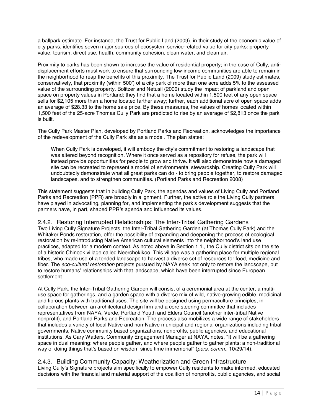a ballpark estimate. For instance, the Trust for Public Land (2009), in their study of the economic value of city parks, identifies seven major sources of ecosystem service-related value for city parks: property value, tourism, direct use, health, community cohesion, clean water, and clean air.

Proximity to parks has been shown to increase the value of residential property; in the case of Cully, antidisplacement efforts must work to ensure that surrounding low-income communities are able to remain in the neighborhood to reap the benefits of this proximity. The Trust for Public Land (2009) study estimates, conservatively, that proximity (within 500') of a city park of more than one acre adds 5% to the assessed value of the surrounding property. Bolitzer and Netusil (2000) study the impact of parkland and open space on property values in Portland; they find that a home located within 1,500 feet of any open space sells for \$2,105 more than a home located farther away; further, each additional acre of open space adds an average of \$28.33 to the home sale price. By these measures, the values of homes located within 1,500 feet of the 25-acre Thomas Cully Park are predicted to rise by an average of \$2,813 once the park is built.

The Cully Park Master Plan, developed by Portland Parks and Recreation, acknowledges the importance of the redevelopment of the Cully Park site as a model. The plan states:

When Cully Park is developed, it will embody the city's commitment to restoring a landscape that was altered beyond recognition. Where it once served as a repository for refuse, the park will instead provide opportunities for people to grow and thrive. It will also demonstrate how a damaged site can be recreated to represent a model of environmental stewardship. Creating Cully Park will undoubtedly demonstrate what all great parks can do - to bring people together, to restore damaged landscapes, and to strengthen communities. (Portland Parks and Recreation 2008)

This statement suggests that in building Cully Park, the agendas and values of Living Cully and Portland Parks and Recreation (PPR) are broadly in alignment. Further, the active role the Living Cully partners have played in advocating, planning for, and implementing the park's development suggests that the partners have, in part, shaped PPR's agenda and influenced its values.

2.4.2. Restoring Interrupted Relationships: The Inter-Tribal Gathering Gardens Two Living Cully Signature Projects, the Inter-Tribal Gathering Garden (at Thomas Cully Park) and the Whitaker Ponds restoration, offer the possibility of expanding and deepening the process of ecological restoration by re-introducing Native American cultural elements into the neighborhood's land use practices, adapted for a modern context. As noted above in Section 1.1., the Cully district sits on the site of a historic Chinook village called Neerchokikoo. This village was a gathering place for multiple regional tribes, who made use of a tended landscape to harvest a diverse set of resources for food, medicine and fiber. The *eco-cultural restoration* projects pursued by NAYA seek not only to restore the landscape, but to restore humans' relationships with that landscape, which have been interrupted since European settlement.

At Cully Park, the Inter-Tribal Gathering Garden will consist of a ceremonial area at the center, a multiuse space for gatherings, and a garden space with a diverse mix of wild, native-growing edible, medicinal and fibrous plants with traditional uses. The site will be designed using permaculture principles, in collaboration between an architectural design firm and a core steering committee that includes representatives from NAYA, Verde, Portland Youth and Elders Council (another inter-tribal Native nonprofit), and Portland Parks and Recreation. The process also mobilizes a wide range of stakeholders that includes a variety of local Native and non-Native municipal and regional organizations including tribal governments, Native community based organizations, nonprofits, public agencies, and educational institutions. As Cary Watters, Community Engagement Manager at NAYA, notes, "It will be a gathering space in dual meaning: where people gather, and where people gather to gather plants: a non-traditional way of doing things that's based on wisdom since time immemorial" (*pers. comm.,* 10/29/14).

#### 2.4.3. Building Community Capacity: Weatherization and Green Infrastructure

Living Cully's Signature projects aim specifically to empower Cully residents to make informed, educated decisions with the financial and material support of the coalition of nonprofits, public agencies, and social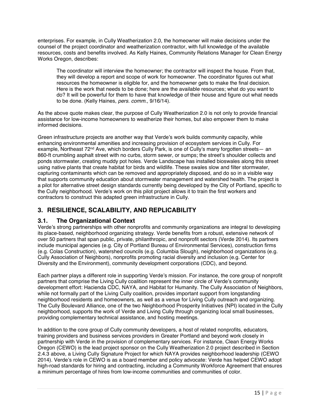enterprises. For example, in Cully Weatherization 2.0, the homeowner will make decisions under the counsel of the project coordinator and weatherization contractor, with full knowledge of the available resources, costs and benefits involved. As Kelly Haines, Community Relations Manager for Clean Energy Works Oregon, describes:

The coordinator will interview the homeowner; the contractor will inspect the house. From that, they will develop a report and scope of work for homeowner. The coordinator figures out what resources the homeowner is eligible for, and the homeowner gets to make the final decision. Here is the work that needs to be done; here are the available resources; what do you want to do? It will be powerful for them to have that knowledge of their house and figure out what needs to be done. (Kelly Haines, *pers. comm.,* 9/16/14).

As the above quote makes clear, the purpose of Cully Weatherization 2.0 is not only to provide financial assistance for low-income homeowners to weatherize their homes, but also empower them to make informed decisions.

Green infrastructure projects are another way that Verde's work builds community capacity, while enhancing environmental amenities and increasing provision of ecosystem services in Cully. For example, Northeast 72<sup>nd</sup> Ave, which borders Cully Park, is one of Cully's many forgotten streets— an 860-ft crumbling asphalt street with no curbs, storm sewer, or sumps; the street's shoulder collects and ponds stormwater, creating muddy pot holes. Verde Landscape has installed bioswales along this street using native plants that create habitat for birds and wildlife. These swales slow and filter stormwater, capturing contaminants which can be removed and appropriately disposed, and do so in a visible way that supports community education about stormwater management and watershed health. The project is a pilot for alternative street design standards currently being developed by the City of Portland, specific to the Cully neighborhood. Verde's work on this pilot project allows it to train the first workers and contractors to construct this adapted green infrastructure in Cully.

# **3. RESILIENCE, SCALABILITY, AND REPLICABILITY**

#### **3.1. The Organizational Context**

Verde's strong partnerships with other nonprofits and community organizations are integral to developing its place-based, neighborhood organizing strategy. Verde benefits from a robust, extensive network of over 50 partners that span public, private, philanthropic, and nonprofit sectors (Verde 2014). Its partners include municipal agencies (e.g. City of Portland Bureau of Environmental Services), construction firms (e.g. Colas Construction), watershed councils (e.g. Columbia Slough), neighborhood organizations (e.g. Cully Association of Neighbors), nonprofits promoting racial diversity and inclusion (e.g. Center for Diversity and the Environment), community development corporations (CDC), and beyond.

Each partner plays a different role in supporting Verde's mission. For instance, the core group of nonprofit partners that comprise the Living Cully coalition represent the inner circle of Verde's community development effort: Hacienda CDC, NAYA, and Habitat for Humanity. The Cully Association of Neighbors, while not formally part of the Living Cully coalition, provides important support from longstanding neighborhood residents and homeowners, as well as a venue for Living Cully outreach and organizing. The Cully Boulevard Alliance, one of the two Neighborhood Prosperity Initiatives (NPI) located in the Cully neighborhood, supports the work of Verde and Living Cully through organizing local small businesses, providing complementary technical assistance, and hosting meetings.

In addition to the core group of Cully community developers, a host of related nonprofits, educators, training providers and business services providers in Greater Portland and beyond work closely in partnership with Verde in the provision of complementary services. For instance, Clean Energy Works Oregon (CEWO) is the lead project sponsor on the Cully Weatherization 2.0 project described in Section 2.4.3 above, a Living Cully Signature Project for which NAYA provides neighborhood leadership (CEWO 2014). Verde's role in CEWO is as a board member and policy advocate: Verde has helped CEWO adopt high-road standards for hiring and contracting, including a Community Workforce Agreement that ensures a minimum percentage of hires from low-income communities and communities of color.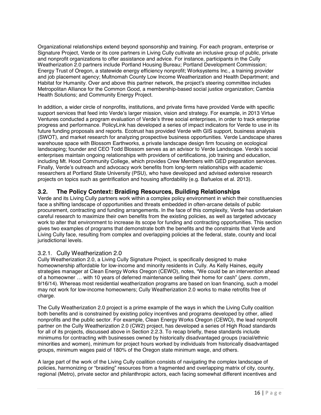Organizational relationships extend beyond sponsorship and training. For each program, enterprise or Signature Project, Verde or its core partners in Living Cully cultivate an inclusive group of public, private and nonprofit organizations to offer assistance and advice. For instance, participants in the Cully Weatherization 2.0 partners include Portland Housing Bureau; Portland Development Commission; Energy Trust of Oregon, a statewide energy efficiency nonprofit; Worksystems Inc., a training provider and job placement agency; Multnomah County Low Income Weatherization and Health Department; and Habitat for Humanity. Over and above this partner network, the project's steering committee includes Metropolitan Alliance for the Common Good, a membership-based social justice organization; Cambia Health Solutions; and Community Energy Project.

In addition, a wider circle of nonprofits, institutions, and private firms have provided Verde with specific support services that feed into Verde's larger mission, vision and strategy. For example, in 2013 Virtue Ventures conducted a program evaluation of Verde's three social enterprises, in order to track enterprise progress and performance. PolicyLink has developed a series of impact indicators for Verde to use in its future funding proposals and reports. Ecotrust has provided Verde with GIS support, business analysis (SWOT), and market research for analyzing prospective business opportunities. Verde Landscape shares warehouse space with Blossom Earthworks, a private landscape design firm focusing on ecological landscaping; founder and CEO Todd Blossom serves as an advisor to Verde Landscape. Verde's social enterprises maintain ongoing relationships with providers of certifications, job training and education, including Mt. Hood Community College, which provides Crew Members with GED preparation services. Finally, Verde's outreach and advocacy work benefits from long-term relationships with academic researchers at Portland State University (PSU), who have developed and advised extensive research projects on topics such as gentrification and housing affordability (e.g. Bañuelos et al. 2013).

## **3.2. The Policy Context: Braiding Resources, Building Relationships**

Verde and its Living Cully partners work within a complex policy environment in which their constituencies face a shifting landscape of opportunities and threats embedded in often-arcane details of public procurement, contracting and funding arrangements. In the face of this complexity, Verde has undertaken careful research to maximize their own benefits from the existing policies, as well as targeted advocacy work to alter that environment to increase its scope for funding and contracting opportunities. This section gives two examples of programs that demonstrate both the benefits and the constraints that Verde and Living Cully face, resulting from complex and overlapping policies at the federal, state, county and local jurisdictional levels.

#### 3.2.1. Cully Weatherization 2.0

Cully Weatherization 2.0, a Living Cully Signature Project, is specifically designed to make homeownership affordable for low-income and minority residents in Cully. As Kelly Haines, equity strategies manager at Clean Energy Works Oregon (CEWO), notes, "We could be an intervention ahead of a homeowner … with 10 years of deferred maintenance selling their home for cash" (*pers. comm*., 9/16/14). Whereas most residential weatherization programs are based on loan financing, such a model may not work for low-income homeowners; Cully Weatherization 2.0 works to make retrofits free of charge.

The Cully Weatherization 2.0 project is a prime example of the ways in which the Living Cully coalition both benefits and is constrained by existing policy incentives and programs developed by other, allied nonprofits and the public sector. For example, Clean Energy Works Oregon (CEWO), the lead nonprofit partner on the Cully Weatherization 2.0 (CW2) project, has developed a series of High Road standards for all of its projects, discussed above in Section 2.2.3. To recap briefly, these standards include minimums for contracting with businesses owned by historically disadvantaged groups (racial/ethnic minorities and women), minimum for project hours worked by individuals from historically disadvantaged groups, minimum wages paid of 180% of the Oregon state minimum wage, and others.

A large part of the work of the Living Cully coalition consists of navigating the complex landscape of policies, harmonizing or "braiding" resources from a fragmented and overlapping matrix of city, county, regional (Metro), private sector and philanthropic actors, each facing somewhat different incentives and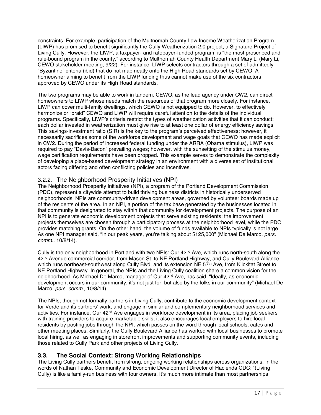constraints. For example, participation of the Multnomah County Low Income Weatherization Program (LIWP) has promised to benefit significantly the Cully Weatherization 2.0 project, a Signature Project of Living Cully. However, the LIWP, a taxpayer- and ratepayer-funded program, is "the most proscribed and rule-bound program in the county," according to Multnomah County Health Department Mary Li (Mary Li, CEWO stakeholder meeting, 9/22). For instance, LIWP selects contractors through a set of admittedly "Byzantine" criteria (ibid) that do not map neatly onto the High Road standards set by CEWO. A homeowner aiming to benefit from the LIWP funding thus cannot make use of the six contractors approved by CEWO under its High Road standards.

The two programs may be able to work in tandem. CEWO, as the lead agency under CW2, can direct homeowners to LIWP whose needs match the resources of that program more closely. For instance, LIWP can cover multi-family dwellings, which CEWO is not equipped to do. However, to effectively harmonize or "braid" CEWO and LIWP will require careful attention to the details of the individual programs. Specifically, LIWP's criteria restrict the types of weatherization activities that it can conduct: each dollar invested in weatherization must give rise to at least one dollar of energy efficiency savings. This savings-investment ratio (SIR) is the key to the program's perceived effectiveness; however, it necessarily sacrifices some of the workforce development and wage goals that CEWO has made explicit in CW2. During the period of increased federal funding under the ARRA (Obama stimulus), LIWP was required to pay "Davis-Bacon" prevailing wages; however, with the sunsetting of the stimulus money, wage certification requirements have been dropped. This example serves to demonstrate the complexity of developing a place-based development strategy in an environment with a diverse set of institutional actors facing differing and often conflicting policies and incentives.

#### 3.2.2. The Neighborhood Prosperity Initiatives (NPI)

The Neighborhood Prosperity Initiatives (NPI), a program of the Portland Development Commission (PDC), represent a citywide attempt to build thriving business districts in historically underserved neighborhoods. NPIs are community-driven development areas, governed by volunteer boards made up of the residents of the area. In an NPI, a portion of the tax base generated by the businesses located in that community is designated to stay within that community for development projects. The purpose of an NPI is to generate economic development projects that serve existing residents: the improvement projects themselves are chosen through a participatory process at the neighborhood level, while the PDC provides matching grants. On the other hand, the volume of funds available to NPIs typically is not large. As one NPI manager said, "In our peak years, you're talking about \$125,000" (Michael De Marco, *pers. comm.,* 10/8/14).

Cully is the only neighborhood in Portland with two NPIs: Our  $42<sup>nd</sup>$  Ave, which runs north-south along the 42nd Avenue commercial corridor, from Mason St. to NE Portland Highway, and Cully Boulevard Alliance, which runs northeast-southwest along Cully Blvd, and its extension NE 57<sup>th</sup> Ave, from Klickitat Street to NE Portland Highway. In general, the NPIs and the Living Cully coalition share a common vision for the neighborhood. As Michael De Marco, manager of Our 42nd Ave, has said, "Ideally, as economic development occurs in our community, it's not just for, but also by the folks in our community" (Michael De Marco, *pers. comm.,* 10/8/14).

The NPIs, though not formally partners in Living Cully, contribute to the economic development context for Verde and its partners' work, and engage in similar and complementary neighborhood services and activities. For instance, Our 42<sup>nd</sup> Ave engages in workforce development in its area, placing job seekers with training providers to acquire marketable skills; it also encourages local employers to hire local residents by posting jobs through the NPI, which passes on the word through local schools, cafes and other meeting places. Similarly, the Cully Boulevard Alliance has worked with local businesses to promote local hiring, as well as engaging in storefront improvements and supporting community events, including those related to Cully Park and other projects of Living Cully.

#### **3.3. The Social Context: Strong Working Relationships**

The Living Cully partners benefit from strong, ongoing working relationships across organizations. In the words of Nathan Teske, Community and Economic Development Director of Hacienda CDC: "(Living Cully) is like a family-run business with four owners. It's much more intimate than most partnerships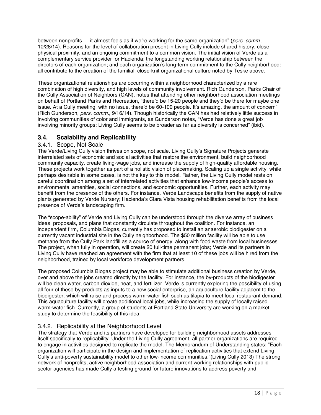between nonprofits … it almost feels as if we're working for the same organization" (*pers. comm.,* 10/28/14). Reasons for the level of collaboration present in Living Cully include shared history, close physical proximity, and an ongoing commitment to a common vision. The initial vision of Verde as a complementary service provider for Hacienda; the longstanding working relationship between the directors of each organization; and each organization's long-term commitment to the Cully neighborhood: all contribute to the creation of the familial, close-knit organizational culture noted by Teske above.

These organizational relationships are occurring within a neighborhood characterized by a rare combination of high diversity, and high levels of community involvement. Rich Gunderson, Parks Chair of the Cully Association of Neighbors (CAN), notes that attending other neighborhood association meetings on behalf of Portland Parks and Recreation, "there'd be 15-20 people and they'd be there for maybe one issue. At a Cully meeting, with no issue, there'd be 60-100 people. It's amazing, the amount of concern" (Rich Gunderson, *pers. comm.*, 9/16/14). Though historically the CAN has had relatively little success in involving communities of color and immigrants, as Gunderson notes, "Verde has done a great job involving minority groups; Living Cully seems to be broader as far as diversity is concerned" (ibid).

## **3.4. Scalability and Replicability**

#### 3.4.1. Scope, Not Scale

The Verde/Living Cully vision thrives on scope, not scale. Living Cully's Signature Projects generate interrelated sets of economic and social activities that restore the environment, build neighborhood community capacity, create living-wage jobs, and increase the supply of high-quality affordable housing. These projects work together as part of a holistic vision of placemaking. Scaling up a single activity, while perhaps desirable in some cases, is not the key to this model. Rather, the Living Cully model rests on careful coordination among a set of interrelated activities that enhance low-income people's access to environmental amenities, social connections, and economic opportunities. Further, each activity may benefit from the presence of the others. For instance, Verde Landscape benefits from the supply of native plants generated by Verde Nursery; Hacienda's Clara Vista housing rehabilitation benefits from the local presence of Verde's landscaping firm.

The "scope-ability" of Verde and Living Cully can be understood through the diverse array of business ideas, proposals, and plans that constantly circulate throughout the coalition. For instance, an independent firm, Columbia Biogas, currently has proposed to install an anaerobic biodigester on a currently vacant industrial site in the Cully neighborhood. The \$50 million facility will be able to use methane from the Cully Park landfill as a source of energy, along with food waste from local businesses. The project, when fully in operation, will create 20 full-time permanent jobs; Verde and its partners in Living Cully have reached an agreement with the firm that at least 10 of these jobs will be hired from the neighborhood, trained by local workforce development partners.

The proposed Columbia Biogas project may be able to stimulate additional business creation by Verde, over and above the jobs created directly by the facility. For instance, the by-products of the biodigester will be clean water, carbon dioxide, heat, and fertilizer. Verde is currently exploring the possibility of using all four of these by-products as inputs to a new social enterprise, an aquaculture facility adjacent to the biodigester, which will raise and process warm-water fish such as tilapia to meet local restaurant demand. This aquaculture facility will create additional local jobs, while increasing the supply of locally raised warm-water fish. Currently, a group of students at Portland State University are working on a market study to determine the feasibility of this idea.

#### 3.4.2. Replicability at the Neighborhood Level

The strategy that Verde and its partners have developed for building neighborhood assets addresses itself specifically to replicability. Under the Living Cully agreement, all partner organizations are required to engage in activities designed to replicate the model. The Memorandum of Understanding states: "Each organization will participate in the design and implementation of replication activities that extend Living Cully's anti-poverty sustainability model to other low-income communities."(Living Cully 2013) The strong network of nonprofits, active neighborhood association and current working relationships with public sector agencies has made Cully a testing ground for future innovations to address poverty and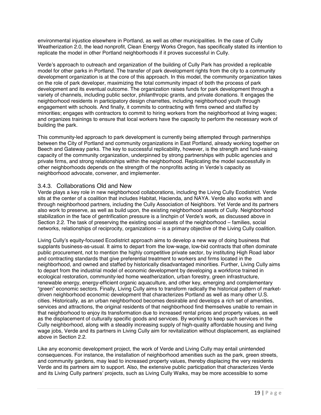environmental injustice elsewhere in Portland, as well as other municipalities. In the case of Cully Weatherization 2.0, the lead nonprofit, Clean Energy Works Oregon, has specifically stated its intention to replicate the model in other Portland neighborhoods if it proves successful in Cully.

Verde's approach to outreach and organization of the building of Cully Park has provided a replicable model for other parks in Portland. The transfer of park development rights from the city to a community development organization is at the core of this approach. In this model, the community organization takes on the role of park developer, maximizing the total community impact of both the process of park development and its eventual outcome. The organization raises funds for park development through a variety of channels, including public sector, philanthropic grants, and private donations. It engages the neighborhood residents in participatory design charrettes, including neighborhood youth through engagement with schools. And finally, it commits to contracting with firms owned and staffed by minorities; engages with contractors to commit to hiring workers from the neighborhood at living wages; and organizes trainings to ensure that local workers have the capacity to perform the necessary work of building the park.

This community-led approach to park development is currently being attempted through partnerships between the City of Portland and community organizations in East Portland, already working together on Beech and Gateway parks. The key to successful replicability, however, is the strength and fund-raising capacity of the community organization, underpinned by strong partnerships with public agencies and private firms, and strong relationships within the neighborhood. Replicating the model successfully in other neighborhoods depends on the strength of the nonprofits acting in Verde's capacity as neighborhood advocate, convener, and implementer.

#### 3.4.3. Collaborations Old and New

Verde plays a key role in new neighborhood collaborations, including the Living Cully Ecodistrict. Verde sits at the center of a coalition that includes Habitat, Hacienda, and NAYA. Verde also works with and through neighborhood partners, including the Cully Association of Neighbors. Yet Verde and its partners also work to preserve, as well as build upon, the existing neighborhood assets of Cully. Neighborhood stabilization in the face of gentrification pressure is a linchpin of Verde's work, as discussed above in Section 2.2. The task of preserving the existing social assets of the neighborhood – families, social networks, relationships of reciprocity, organizations – is a primary objective of the Living Cully coalition.

Living Cully's equity-focused Ecodistrict approach aims to develop a new way of doing business that supplants business-as-usual. It aims to depart from the low-wage, low-bid contracts that often dominate public procurement, not to mention the highly competitive private sector, by instituting High Road labor and contracting standards that give preferential treatment to workers and firms located in the neighborhood, and owned and staffed by historically disadvantaged minorities. Further, Living Cully aims to depart from the industrial model of economic development by developing a workforce trained in ecological restoration, community-led home weatherization, urban forestry, green infrastructure, renewable energy, energy-efficient organic aquaculture, and other key, emerging and complementary "green" economic sectors. Finally, Living Cully aims to transform radically the historical pattern of marketdriven neighborhood economic development that characterizes Portland as well as many other U.S. cities. Historically, as an urban neighborhood becomes desirable and develops a rich set of amenities, services and attractions, the original residents of that neighborhood find themselves unable to remain in that neighborhood to enjoy its transformation due to increased rental prices and property values, as well as the displacement of culturally specific goods and services. By working to keep such services in the Cully neighborhood, along with a steadily increasing supply of high-quality affordable housing and living wage jobs, Verde and its partners in Living Cully aim for revitalization without displacement, as explained above in Section 2.2.

Like any economic development project, the work of Verde and Living Cully may entail unintended consequences. For instance, the installation of neighborhood amenities such as the park, green streets, and community gardens, may lead to increased property values, thereby displacing the very residents Verde and its partners aim to support. Also, the extensive public participation that characterizes Verde and its Living Cully partners' projects, such as Living Cully Walks, may be more accessible to some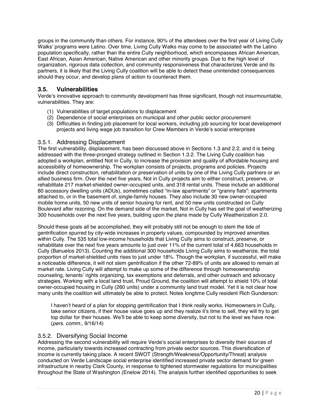groups in the community than others. For instance, 90% of the attendees over the first year of Living Cully Walks' programs were Latino. Over time, Living Cully Walks may come to be associated with the Latino population specifically, rather than the entire Cully neighborhood, which encompasses African American, East African, Asian American, Native American and other minority groups. Due to the high level of organization, rigorous data collection, and community responsiveness that characterizes Verde and its partners, it is likely that the Living Cully coalition will be able to detect these unintended consequences should they occur, and develop plans of action to counteract them.

#### **3.5. Vulnerabilities**

Verde's innovative approach to community development has three significant, though not insurmountable, vulnerabilities. They are:

- (1) Vulnerabilities of target populations to displacement
- (2) Dependence of social enterprises on municipal and other public sector procurement
- (3) Difficulties in finding job placement for local workers, including job sourcing for local development projects and living wage job transition for Crew Members in Verde's social enterprises

#### 3.5.1. Addressing Displacement

The first vulnerability, displacement, has been discussed above in Sections 1.3 and 2.2, and it is being addressed with the three-pronged strategy outlined in Section 1.3.2. The Living Cully coalition has adopted a workplan, entitled Not in Cully, to increase the provision and quality of affordable housing and accessibility of homeownership. The workplan consists of projects, programs and policies. Projects include direct construction, rehabilitation or preservation of units by one of the Living Cully partners or an allied business firm. Over the next five years, Not in Cully projects aim to either construct, preserve, or rehabilitate 217 market-shielded owner-occupied units, and 318 rental units. These include an additional 80 accessory dwelling units (ADUs), sometimes called "in-law apartments" or "granny flats": apartments attached to, or in the basement of, single-family houses. They also include 30 new owner-occupied mobile home units, 50 new units of senior housing for rent, and 50 new units constructed on Cully Boulevard after rezoning. On the demand side of the market, Not in Cully has set the goal of weatherizing 300 households over the next five years, building upon the plans made by Cully Weatherization 2.0.

Should these goals all be accomplished, they will probably still not be enough to stem the tide of gentrification spurred by city-wide increases in property values, compounded by improved amenities within Cully. The 535 total low-income households that Living Cully aims to construct, preserve, or rehabilitate over the next five years amounts to just over 11% of the current total of 4,663 households in Cully (Banuelos 2013). Counting the additional 300 households Living Cully aims to weatherize, the total proportion of market-shielded units rises to just under 18%. Though the workplan, if successful, will make a noticeable difference, it will not stem gentrification if the other 72-89% of units are allowed to remain at market rate. Living Cully will attempt to make up some of the difference through homeownership counseling, tenants' rights organizing, tax exemptions and deferrals, and other outreach and advocacy strategies. Working with a local land trust, Proud Ground, the coalition will attempt to shield 10% of total owner-occupied housing in Cully (260 units) under a community land trust model. Yet it is not clear how many units the coalition will ultimately be able to protect. Notes longtime Cully resident Rich Gunderson:

I haven't heard of a plan for stopping gentrification that I think really works. Homeowners in Cully, take senior citizens, if their house value goes up and they realize it's time to sell, they will try to get top dollar for their houses. We'll be able to keep some diversity, but not to the level we have now. (*pers. comm.,* 9/16/14)

#### 3.5.2. Diversifying Social Income

Addressing the second vulnerability will require Verde's social enterprises to diversity their sources of income, particularly towards increased contracting from private sector sources. This diversification of income is currently taking place. A recent SWOT (Strength/Weakness/Opportunity/Threat) analysis conducted on Verde Landscape social enterprise identified increased private sector demand for green infrastructure in nearby Clark County, in response to tightened stormwater regulations for municipalities throughout the State of Washington (Enelow 2014). The analysis further identified opportunities to seek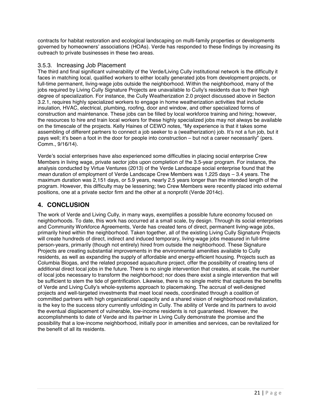contracts for habitat restoration and ecological landscaping on multi-family properties or developments governed by homeowners' associations (HOAs). Verde has responded to these findings by increasing its outreach to private businesses in these two areas.

#### 3.5.3. Increasing Job Placement

The third and final significant vulnerability of the Verde/Living Cully institutional network is the difficulty it faces in matching local, qualified workers to either locally generated jobs from development projects, or full-time permanent, living-wage jobs outside the neighborhood. Within the neighborhood, many of the jobs required by Living Cully Signature Projects are unavailable to Cully's residents due to their high degree of specialization. For instance, the Cully Weatherization 2.0 project discussed above in Section 3.2.1, requires highly specialized workers to engage in home weatherization activities that include insulation, HVAC, electrical, plumbing, roofing, door and window, and other specialized forms of construction and maintenance. These jobs can be filled by local workforce training and hiring; however, the resources to hire and train local workers for these highly specialized jobs may not always be available on the timescale of the projects. Kelly Haines of CEWO notes, "My experience is that it takes some assembling of different partners to connect a job seeker to a (weatherization) job. It's not a fun job, but it pays well; it's been a foot in the door for people into construction – but not a career necessarily" (pers. Comm., 9/16/14).

Verde's social enterprises have also experienced some difficulties in placing social enterprise Crew Members in living wage, private sector jobs upon completion of the 3.5-year program. For instance, the analysis conducted by Virtue Ventures (2013) of the Verde Landscape social enterprise found that the *mean* duration of employment of Verde Landscape Crew Members was 1,225 days – 3.4 years. The maximum duration was 2,151 days, or 5.9 years, nearly 2.5 years longer than the intended length of the program. However, this difficulty may be lessening; two Crew Members were recently placed into external positions, one at a private sector firm and the other at a nonprofit (Verde 2014c).

## **4. CONCLUSION**

The work of Verde and Living Cully, in many ways, exemplifies a possible future economy focused on neighborhoods. To date, this work has occurred at a small scale, by design. Through its social enterprises and Community Workforce Agreements, Verde has created tens of direct, permanent living-wage jobs, primarily hired within the neighborhood. Taken together, all of the existing Living Cully Signature Projects will create hundreds of direct, indirect and induced temporary, living-wage jobs measured in full-time person-years, primarily (though not entirely) hired from outside the neighborhood. These Signature Projects are creating substantial improvements in the environmental amenities available to Cully residents, as well as expanding the supply of affordable and energy-efficient housing. Projects such as Columbia Biogas, and the related proposed aquaculture project, offer the possibility of creating tens of additional direct local jobs in the future. There is no single intervention that creates, at scale, the number of local jobs necessary to transform the neighborhood; nor does there exist a single intervention that will be sufficient to stem the tide of gentrification. Likewise, there is no single metric that captures the benefits of Verde and Living Cully's whole-systems approach to placemaking. The accrual of well-designed projects and well-targeted investments that meet local needs, coordinated through a coalition of committed partners with high organizational capacity and a shared vision of neighborhood revitalization, is the key to the success story currently unfolding in Cully. The ability of Verde and its partners to avoid the eventual displacement of vulnerable, low-income residents is not guaranteed. However, the accomplishments to date of Verde and its partner in Living Cully demonstrate the promise and the possibility that a low-income neighborhood, initially poor in amenities and services, can be revitalized for the benefit of all its residents.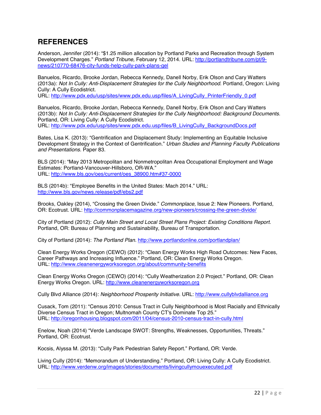# **REFERENCES**

Anderson, Jennifer (2014): "\$1.25 million allocation by Portland Parks and Recreation through System Development Charges." *Portland Tribune,* February 12, 2014. URL: http://portlandtribune.com/pt/9 news/210770-68476-city-funds-help-cully-park-plans-gel

Banuelos, Ricardo, Brooke Jordan, Rebecca Kennedy, Danell Norby, Erik Olson and Cary Watters (2013a): *Not In Cully: Anti-Displacement Strategies for the Cully Neighborhood.* Portland, Oregon: Living Cully: A Cully Ecodistrict.

URL: http://www.pdx.edu/usp/sites/www.pdx.edu.usp/files/A\_LivingCully\_PrinterFriendly\_0.pdf

Banuelos, Ricardo, Brooke Jordan, Rebecca Kennedy, Danell Norby, Erik Olson and Cary Watters (2013b): *Not In Cully: Anti-Displacement Strategies for the Cully Neighborhood: Background Documents.*  Portland, OR: Living Cully: A Cully Ecodistrict. URL: http://www.pdx.edu/usp/sites/www.pdx.edu.usp/files/B\_LivingCully\_BackgroundDocs.pdf

Bates, Lisa K. (2013): "Gentrification and Displacement Study: Implementing an Equitable Inclusive Development Strategy in the Context of Gentrification." *Urban Studies and Planning Faculty Publications and Presentations.* Paper 83.

BLS (2014): "May 2013 Metropolitan and Nonmetropolitan Area Occupational Employment and Wage Estimates: Portland-Vancouver-Hillsboro, OR-WA." URL: http://www.bls.gov/oes/current/oes\_38900.htm#37-0000

BLS (2014b): "Employee Benefits in the United States: Mach 2014." URL: http://www.bls.gov/news.release/pdf/ebs2.pdf

Brooks, Oakley (2014), "Crossing the Green Divide." *Commonplace,* Issue 2: New Pioneers. Portland, OR: Ecotrust. URL: http://commonplacemagazine.org/new-pioneers/crossing-the-green-divide/

City of Portland (2012): *Cully Main Street and Local Street Plans Project: Existing Conditions Report.*  Portland, OR: Bureau of Planning and Sustainability, Bureau of Transportation.

City of Portland (2014): *The Portland Plan.* http://www.portlandonline.com/portlandplan/

Clean Energy Works Oregon (CEWO) (2012): "Clean Energy Works High Road Outcomes: New Faces, Career Pathways and Increasing Influence." Portland, OR: Clean Energy Works Oregon. URL: http://www.cleanenergyworksoregon.org/about/community-benefits

Clean Energy Works Oregon (CEWO) (2014): "Cully Weatherization 2.0 Project." Portland, OR: Clean Energy Works Oregon. URL: http://www.cleanenergyworksoregon.org

Cully Blvd Alliance (2014): *Neighborhood Prosperity Initiative.* URL: http://www.cullyblvdalliance.org

Cusack, Tom (2011): "Census 2010: Census Tract in Cully Neighborhood is Most Racially and Ethnically Diverse Census Tract in Oregon; Multnomah County CT's Dominate Top 25." URL: http://oregonhousing.blogspot.com/2011/04/census-2010-census-tract-in-cully.html

Enelow, Noah (2014) "Verde Landscape SWOT: Strengths, Weaknesses, Opportunities, Threats." Portland, OR: Ecotrust.

Kocsis, Alyssa M. (2013): "Cully Park Pedestrian Safety Report." Portland, OR: Verde.

Living Cully (2014): "Memorandum of Understanding." Portland, OR: Living Cully: A Cully Ecodistrict. URL: http://www.verdenw.org/images/stories/documents/livingcullymouexecuted.pdf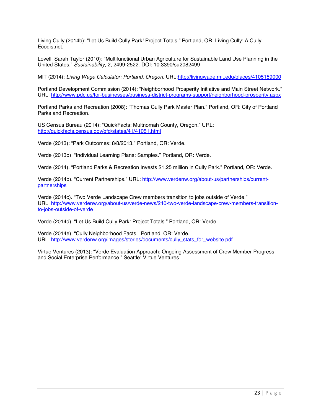Living Cully (2014b): "Let Us Build Cully Park! Project Totals." Portland, OR: Living Cully: A Cully Ecodistrict.

Lovell, Sarah Taylor (2010): "Multifunctional Urban Agriculture for Sustainable Land Use Planning in the United States." *Sustainability*, 2, 2499-2522. DOI: 10.3390/su2082499

MIT (2014): *Living Wage Calculator: Portland, Oregon.* URL:http://livingwage.mit.edu/places/4105159000

Portland Development Commission (2014): "Neighborhood Prosperity Initiative and Main Street Network." URL: http://www.pdc.us/for-businesses/business-district-programs-support/neighborhood-prosperity.aspx

Portland Parks and Recreation (2008): "Thomas Cully Park Master Plan." Portland, OR: City of Portland Parks and Recreation.

US Census Bureau (2014): "QuickFacts: Multnomah County, Oregon." URL: http://quickfacts.census.gov/qfd/states/41/41051.html

Verde (2013): "Park Outcomes: 8/8/2013." Portland, OR: Verde.

Verde (2013b): "Individual Learning Plans: Samples." Portland, OR: Verde.

Verde (2014). "Portland Parks & Recreation Invests \$1.25 million in Cully Park." Portland, OR: Verde.

Verde (2014b). "Current Partnerships." URL: http://www.verdenw.org/about-us/partnerships/currentpartnerships

Verde (2014c). "Two Verde Landscape Crew members transition to jobs outside of Verde." URL: http://www.verdenw.org/about-us/verde-news/240-two-verde-landscape-crew-members-transitionto-jobs-outside-of-verde

Verde (2014d): "Let Us Build Cully Park: Project Totals." Portland, OR: Verde.

Verde (2014e): "Cully Neighborhood Facts." Portland, OR: Verde. URL: http://www.verdenw.org/images/stories/documents/cully\_stats\_for\_website.pdf

Virtue Ventures (2013): "Verde Evaluation Approach: Ongoing Assessment of Crew Member Progress and Social Enterprise Performance." Seattle: Virtue Ventures.